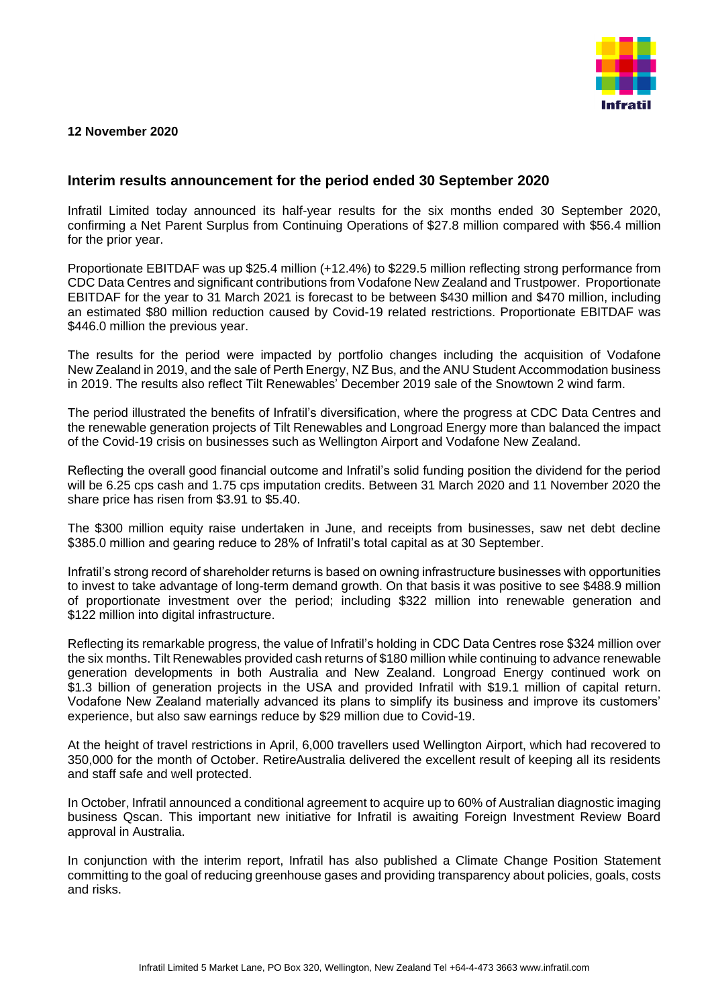

## **12 November 2020**

## **Interim results announcement for the period ended 30 September 2020**

Infratil Limited today announced its half-year results for the six months ended 30 September 2020, confirming a Net Parent Surplus from Continuing Operations of \$27.8 million compared with \$56.4 million for the prior year.

Proportionate EBITDAF was up \$25.4 million (+12.4%) to \$229.5 million reflecting strong performance from CDC Data Centres and significant contributions from Vodafone New Zealand and Trustpower. Proportionate EBITDAF for the year to 31 March 2021 is forecast to be between \$430 million and \$470 million, including an estimated \$80 million reduction caused by Covid-19 related restrictions. Proportionate EBITDAF was \$446.0 million the previous year.

The results for the period were impacted by portfolio changes including the acquisition of Vodafone New Zealand in 2019, and the sale of Perth Energy, NZ Bus, and the ANU Student Accommodation business in 2019. The results also reflect Tilt Renewables' December 2019 sale of the Snowtown 2 wind farm.

The period illustrated the benefits of Infratil's diversification, where the progress at CDC Data Centres and the renewable generation projects of Tilt Renewables and Longroad Energy more than balanced the impact of the Covid-19 crisis on businesses such as Wellington Airport and Vodafone New Zealand.

Reflecting the overall good financial outcome and Infratil's solid funding position the dividend for the period will be 6.25 cps cash and 1.75 cps imputation credits. Between 31 March 2020 and 11 November 2020 the share price has risen from \$3.91 to \$5.40.

The \$300 million equity raise undertaken in June, and receipts from businesses, saw net debt decline \$385.0 million and gearing reduce to 28% of Infratil's total capital as at 30 September.

Infratil's strong record of shareholder returns is based on owning infrastructure businesses with opportunities to invest to take advantage of long-term demand growth. On that basis it was positive to see \$488.9 million of proportionate investment over the period; including \$322 million into renewable generation and \$122 million into digital infrastructure.

Reflecting its remarkable progress, the value of Infratil's holding in CDC Data Centres rose \$324 million over the six months. Tilt Renewables provided cash returns of \$180 million while continuing to advance renewable generation developments in both Australia and New Zealand. Longroad Energy continued work on \$1.3 billion of generation projects in the USA and provided Infratil with \$19.1 million of capital return. Vodafone New Zealand materially advanced its plans to simplify its business and improve its customers' experience, but also saw earnings reduce by \$29 million due to Covid-19.

At the height of travel restrictions in April, 6,000 travellers used Wellington Airport, which had recovered to 350,000 for the month of October. RetireAustralia delivered the excellent result of keeping all its residents and staff safe and well protected.

In October, Infratil announced a conditional agreement to acquire up to 60% of Australian diagnostic imaging business Qscan. This important new initiative for Infratil is awaiting Foreign Investment Review Board approval in Australia.

In conjunction with the interim report, Infratil has also published a Climate Change Position Statement committing to the goal of reducing greenhouse gases and providing transparency about policies, goals, costs and risks.